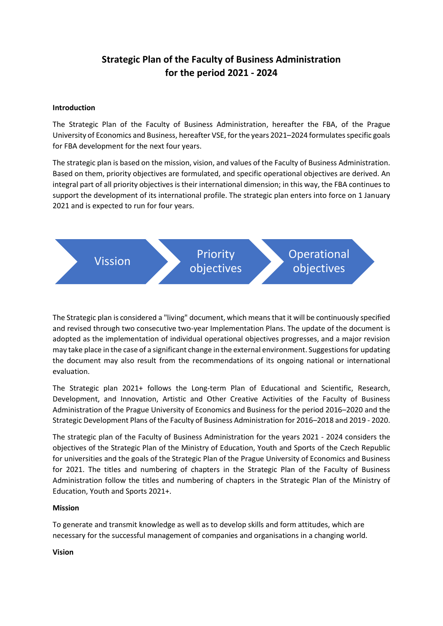# **Strategic Plan of the Faculty of Business Administration for the period 2021 - 2024**

#### **Introduction**

The Strategic Plan of the Faculty of Business Administration, hereafter the FBA, of the Prague University of Economics and Business, hereafter VSE, for the years 2021–2024 formulates specific goals for FBA development for the next four years.

The strategic plan is based on the mission, vision, and values of the Faculty of Business Administration. Based on them, priority objectives are formulated, and specific operational objectives are derived. An integral part of all priority objectives is their international dimension; in this way, the FBA continues to support the development of its international profile. The strategic plan enters into force on 1 January 2021 and is expected to run for four years.



The Strategic plan is considered a "living" document, which means that it will be continuously specified and revised through two consecutive two-year Implementation Plans. The update of the document is adopted as the implementation of individual operational objectives progresses, and a major revision may take place in the case of a significant change in the external environment. Suggestions for updating the document may also result from the recommendations of its ongoing national or international evaluation.

The Strategic plan 2021+ follows the Long-term Plan of Educational and Scientific, Research, Development, and Innovation, Artistic and Other Creative Activities of the Faculty of Business Administration of the Prague University of Economics and Business for the period 2016–2020 and the Strategic Development Plans of the Faculty of Business Administration for 2016–2018 and 2019 - 2020.

The strategic plan of the Faculty of Business Administration for the years 2021 - 2024 considers the objectives of the Strategic Plan of the Ministry of Education, Youth and Sports of the Czech Republic for universities and the goals of the Strategic Plan of the Prague University of Economics and Business for 2021. The titles and numbering of chapters in the Strategic Plan of the Faculty of Business Administration follow the titles and numbering of chapters in the Strategic Plan of the Ministry of Education, Youth and Sports 2021+.

#### **Mission**

To generate and transmit knowledge as well as to develop skills and form attitudes, which are necessary for the successful management of companies and organisations in a changing world.

**Vision**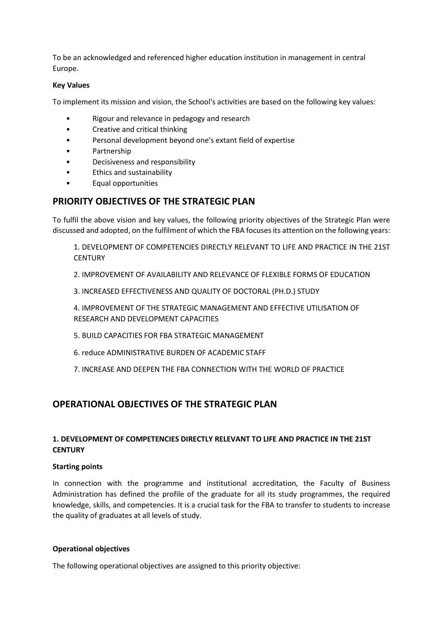To be an acknowledged and referenced higher education institution in management in central Europe.

#### **Key Values**

To implement its mission and vision, the School's activities are based on the following key values:

- Rigour and relevance in pedagogy and research
- Creative and critical thinking
- Personal development beyond one's extant field of expertise
- Partnership
- Decisiveness and responsibility
- Ethics and sustainability
- Equal opportunities

# **PRIORITY OBJECTIVES OF THE STRATEGIC PLAN**

To fulfil the above vision and key values, the following priority objectives of the Strategic Plan were discussed and adopted, on the fulfilment of which the FBA focuses its attention on the following years:

1. DEVELOPMENT OF COMPETENCIES DIRECTLY RELEVANT TO LIFE AND PRACTICE IN THE 21ST **CENTURY** 

- 2. IMPROVEMENT OF AVAILABILITY AND RELEVANCE OF FLEXIBLE FORMS OF EDUCATION
- 3. INCREASED EFFECTIVENESS AND QUALITY OF DOCTORAL (PH.D.) STUDY

4. IMPROVEMENT OF THE STRATEGIC MANAGEMENT AND EFFECTIVE UTILISATION OF RESEARCH AND DEVELOPMENT CAPACITIES

- 5. BUILD CAPACITIES FOR FBA STRATEGIC MANAGEMENT
- 6. reduce ADMINISTRATIVE BURDEN OF ACADEMIC STAFF
- 7. INCREASE AND DEEPEN THE FBA CONNECTION WITH THE WORLD OF PRACTICE

# **OPERATIONAL OBJECTIVES OF THE STRATEGIC PLAN**

# **1. DEVELOPMENT OF COMPETENCIES DIRECTLY RELEVANT TO LIFE AND PRACTICE IN THE 21ST CENTURY**

#### **Starting points**

In connection with the programme and institutional accreditation, the Faculty of Business Administration has defined the profile of the graduate for all its study programmes, the required knowledge, skills, and competencies. It is a crucial task for the FBA to transfer to students to increase the quality of graduates at all levels of study.

#### **Operational objectives**

The following operational objectives are assigned to this priority objective: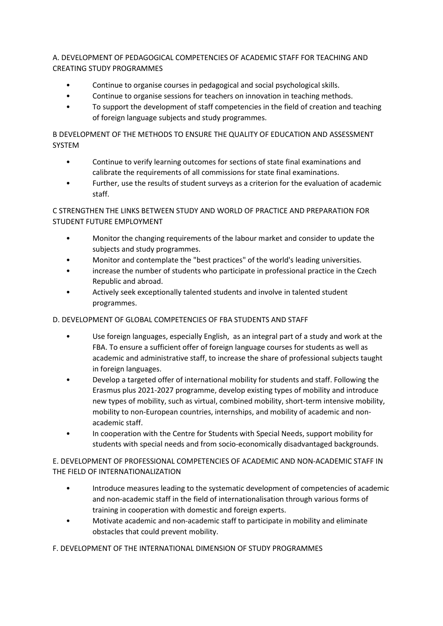A. DEVELOPMENT OF PEDAGOGICAL COMPETENCIES OF ACADEMIC STAFF FOR TEACHING AND CREATING STUDY PROGRAMMES

- Continue to organise courses in pedagogical and social psychological skills.
- Continue to organise sessions for teachers on innovation in teaching methods.
- To support the development of staff competencies in the field of creation and teaching of foreign language subjects and study programmes.

B DEVELOPMENT OF THE METHODS TO ENSURE THE QUALITY OF EDUCATION AND ASSESSMENT SYSTEM

- Continue to verify learning outcomes for sections of state final examinations and calibrate the requirements of all commissions for state final examinations.
- Further, use the results of student surveys as a criterion for the evaluation of academic staff.

# C STRENGTHEN THE LINKS BETWEEN STUDY AND WORLD OF PRACTICE AND PREPARATION FOR STUDENT FUTURE EMPLOYMENT

- Monitor the changing requirements of the labour market and consider to update the subjects and study programmes.
- Monitor and contemplate the "best practices" of the world's leading universities.
- increase the number of students who participate in professional practice in the Czech Republic and abroad.
- Actively seek exceptionally talented students and involve in talented student programmes.

# D. DEVELOPMENT OF GLOBAL COMPETENCIES OF FBA STUDENTS AND STAFF

- Use foreign languages, especially English, as an integral part of a study and work at the FBA. To ensure a sufficient offer of foreign language courses for students as well as academic and administrative staff, to increase the share of professional subjects taught in foreign languages.
- Develop a targeted offer of international mobility for students and staff. Following the Erasmus plus 2021-2027 programme, develop existing types of mobility and introduce new types of mobility, such as virtual, combined mobility, short-term intensive mobility, mobility to non-European countries, internships, and mobility of academic and nonacademic staff.
- In cooperation with the Centre for Students with Special Needs, support mobility for students with special needs and from socio-economically disadvantaged backgrounds.

# E. DEVELOPMENT OF PROFESSIONAL COMPETENCIES OF ACADEMIC AND NON-ACADEMIC STAFF IN THE FIELD OF INTERNATIONALIZATION

- Introduce measures leading to the systematic development of competencies of academic and non-academic staff in the field of internationalisation through various forms of training in cooperation with domestic and foreign experts.
- Motivate academic and non-academic staff to participate in mobility and eliminate obstacles that could prevent mobility.

# F. DEVELOPMENT OF THE INTERNATIONAL DIMENSION OF STUDY PROGRAMMES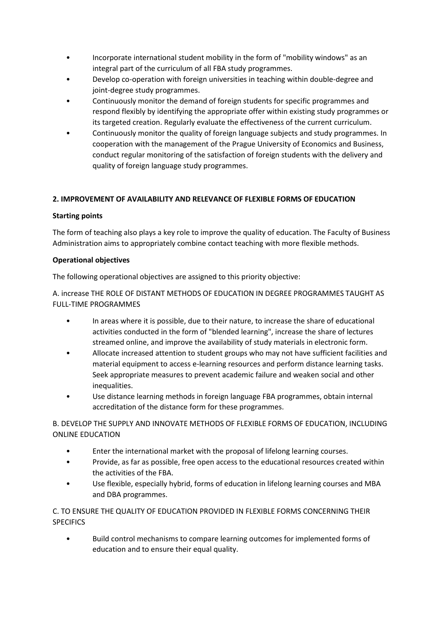- Incorporate international student mobility in the form of "mobility windows" as an integral part of the curriculum of all FBA study programmes.
- Develop co-operation with foreign universities in teaching within double-degree and joint-degree study programmes.
- Continuously monitor the demand of foreign students for specific programmes and respond flexibly by identifying the appropriate offer within existing study programmes or its targeted creation. Regularly evaluate the effectiveness of the current curriculum.
- Continuously monitor the quality of foreign language subjects and study programmes. In cooperation with the management of the Prague University of Economics and Business, conduct regular monitoring of the satisfaction of foreign students with the delivery and quality of foreign language study programmes.

# **2. IMPROVEMENT OF AVAILABILITY AND RELEVANCE OF FLEXIBLE FORMS OF EDUCATION**

### **Starting points**

The form of teaching also plays a key role to improve the quality of education. The Faculty of Business Administration aims to appropriately combine contact teaching with more flexible methods.

### **Operational objectives**

The following operational objectives are assigned to this priority objective:

A. increase THE ROLE OF DISTANT METHODS OF EDUCATION IN DEGREE PROGRAMMES TAUGHT AS FULL-TIME PROGRAMMES

- In areas where it is possible, due to their nature, to increase the share of educational activities conducted in the form of "blended learning", increase the share of lectures streamed online, and improve the availability of study materials in electronic form.
- Allocate increased attention to student groups who may not have sufficient facilities and material equipment to access e-learning resources and perform distance learning tasks. Seek appropriate measures to prevent academic failure and weaken social and other inequalities.
- Use distance learning methods in foreign language FBA programmes, obtain internal accreditation of the distance form for these programmes.

B. DEVELOP THE SUPPLY AND INNOVATE METHODS OF FLEXIBLE FORMS OF EDUCATION, INCLUDING ONLINE EDUCATION

- Enter the international market with the proposal of lifelong learning courses.
- Provide, as far as possible, free open access to the educational resources created within the activities of the FBA.
- Use flexible, especially hybrid, forms of education in lifelong learning courses and MBA and DBA programmes.

# C. TO ENSURE THE QUALITY OF EDUCATION PROVIDED IN FLEXIBLE FORMS CONCERNING THEIR **SPECIFICS**

• Build control mechanisms to compare learning outcomes for implemented forms of education and to ensure their equal quality.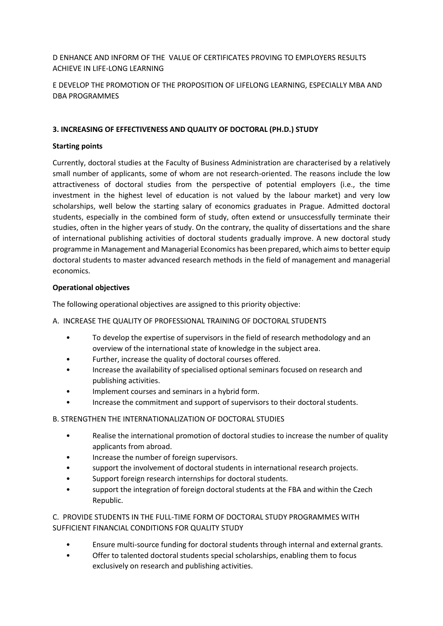# D ENHANCE AND INFORM OF THE VALUE OF CERTIFICATES PROVING TO EMPLOYERS RESULTS ACHIEVE IN LIFE-LONG LEARNING

# E DEVELOP THE PROMOTION OF THE PROPOSITION OF LIFELONG LEARNING, ESPECIALLY MBA AND DBA PROGRAMMES

### **3. INCREASING OF EFFECTIVENESS AND QUALITY OF DOCTORAL (PH.D.) STUDY**

### **Starting points**

Currently, doctoral studies at the Faculty of Business Administration are characterised by a relatively small number of applicants, some of whom are not research-oriented. The reasons include the low attractiveness of doctoral studies from the perspective of potential employers (i.e., the time investment in the highest level of education is not valued by the labour market) and very low scholarships, well below the starting salary of economics graduates in Prague. Admitted doctoral students, especially in the combined form of study, often extend or unsuccessfully terminate their studies, often in the higher years of study. On the contrary, the quality of dissertations and the share of international publishing activities of doctoral students gradually improve. A new doctoral study programme in Management and Managerial Economics has been prepared, which aims to better equip doctoral students to master advanced research methods in the field of management and managerial economics.

### **Operational objectives**

The following operational objectives are assigned to this priority objective:

### A. INCREASE THE QUALITY OF PROFESSIONAL TRAINING OF DOCTORAL STUDENTS

- To develop the expertise of supervisors in the field of research methodology and an overview of the international state of knowledge in the subject area.
- Further, increase the quality of doctoral courses offered.
- Increase the availability of specialised optional seminars focused on research and publishing activities.
- Implement courses and seminars in a hybrid form.
- Increase the commitment and support of supervisors to their doctoral students.

### B. STRENGTHEN THE INTERNATIONALIZATION OF DOCTORAL STUDIES

- Realise the international promotion of doctoral studies to increase the number of quality applicants from abroad.
- Increase the number of foreign supervisors.
- support the involvement of doctoral students in international research projects.
- Support foreign research internships for doctoral students.
- support the integration of foreign doctoral students at the FBA and within the Czech Republic.

C. PROVIDE STUDENTS IN THE FULL-TIME FORM OF DOCTORAL STUDY PROGRAMMES WITH SUFFICIENT FINANCIAL CONDITIONS FOR QUALITY STUDY

- Ensure multi-source funding for doctoral students through internal and external grants.
- Offer to talented doctoral students special scholarships, enabling them to focus exclusively on research and publishing activities.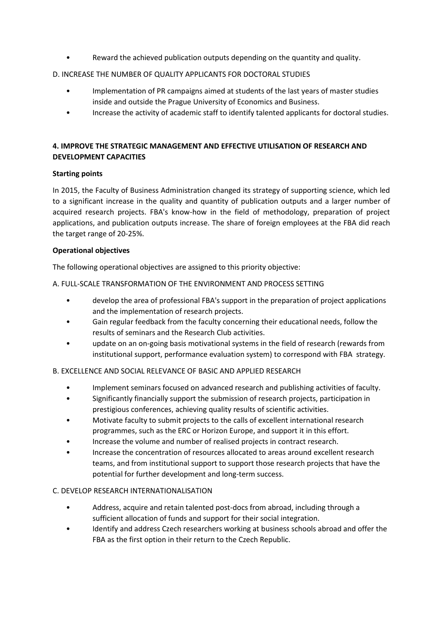• Reward the achieved publication outputs depending on the quantity and quality.

### D. INCREASE THE NUMBER OF QUALITY APPLICANTS FOR DOCTORAL STUDIES

- Implementation of PR campaigns aimed at students of the last years of master studies inside and outside the Prague University of Economics and Business.
- Increase the activity of academic staff to identify talented applicants for doctoral studies.

### **4. IMPROVE THE STRATEGIC MANAGEMENT AND EFFECTIVE UTILISATION OF RESEARCH AND DEVELOPMENT CAPACITIES**

### **Starting points**

In 2015, the Faculty of Business Administration changed its strategy of supporting science, which led to a significant increase in the quality and quantity of publication outputs and a larger number of acquired research projects. FBA's know-how in the field of methodology, preparation of project applications, and publication outputs increase. The share of foreign employees at the FBA did reach the target range of 20-25%.

### **Operational objectives**

The following operational objectives are assigned to this priority objective:

### A. FULL-SCALE TRANSFORMATION OF THE ENVIRONMENT AND PROCESS SETTING

- develop the area of professional FBA's support in the preparation of project applications and the implementation of research projects.
- Gain regular feedback from the faculty concerning their educational needs, follow the results of seminars and the Research Club activities.
- update on an on-going basis motivational systems in the field of research (rewards from institutional support, performance evaluation system) to correspond with FBA strategy.

### B. EXCELLENCE AND SOCIAL RELEVANCE OF BASIC AND APPLIED RESEARCH

- Implement seminars focused on advanced research and publishing activities of faculty.
- Significantly financially support the submission of research projects, participation in prestigious conferences, achieving quality results of scientific activities.
- Motivate faculty to submit projects to the calls of excellent international research programmes, such as the ERC or Horizon Europe, and support it in this effort.
- Increase the volume and number of realised projects in contract research.
- Increase the concentration of resources allocated to areas around excellent research teams, and from institutional support to support those research projects that have the potential for further development and long-term success.

### C. DEVELOP RESEARCH INTERNATIONALISATION

- Address, acquire and retain talented post-docs from abroad, including through a sufficient allocation of funds and support for their social integration.
- Identify and address Czech researchers working at business schools abroad and offer the FBA as the first option in their return to the Czech Republic.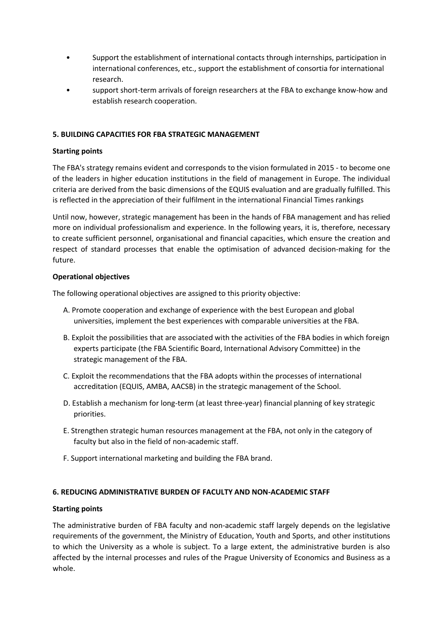- Support the establishment of international contacts through internships, participation in international conferences, etc., support the establishment of consortia for international research.
- support short-term arrivals of foreign researchers at the FBA to exchange know-how and establish research cooperation.

### **5. BUILDING CAPACITIES FOR FBA STRATEGIC MANAGEMENT**

#### **Starting points**

The FBA's strategy remains evident and corresponds to the vision formulated in 2015 - to become one of the leaders in higher education institutions in the field of management in Europe. The individual criteria are derived from the basic dimensions of the EQUIS evaluation and are gradually fulfilled. This is reflected in the appreciation of their fulfilment in the international Financial Times rankings

Until now, however, strategic management has been in the hands of FBA management and has relied more on individual professionalism and experience. In the following years, it is, therefore, necessary to create sufficient personnel, organisational and financial capacities, which ensure the creation and respect of standard processes that enable the optimisation of advanced decision-making for the future.

### **Operational objectives**

The following operational objectives are assigned to this priority objective:

- A. Promote cooperation and exchange of experience with the best European and global universities, implement the best experiences with comparable universities at the FBA.
- B. Exploit the possibilities that are associated with the activities of the FBA bodies in which foreign experts participate (the FBA Scientific Board, International Advisory Committee) in the strategic management of the FBA.
- C. Exploit the recommendations that the FBA adopts within the processes of international accreditation (EQUIS, AMBA, AACSB) in the strategic management of the School.
- D. Establish a mechanism for long-term (at least three-year) financial planning of key strategic priorities.
- E. Strengthen strategic human resources management at the FBA, not only in the category of faculty but also in the field of non-academic staff.
- F. Support international marketing and building the FBA brand.

#### **6. REDUCING ADMINISTRATIVE BURDEN OF FACULTY AND NON-ACADEMIC STAFF**

#### **Starting points**

The administrative burden of FBA faculty and non-academic staff largely depends on the legislative requirements of the government, the Ministry of Education, Youth and Sports, and other institutions to which the University as a whole is subject. To a large extent, the administrative burden is also affected by the internal processes and rules of the Prague University of Economics and Business as a whole.